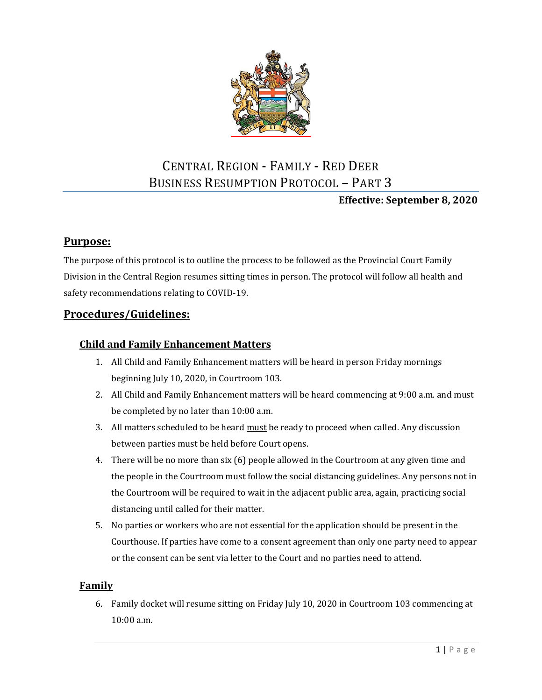

# CENTRAL REGION - FAMILY - RED DEER BUSINESS RESUMPTION PROTOCOL – PART 3

### **Effective: September 8, 2020**

## **Purpose:**

The purpose of this protocol is to outline the process to be followed as the Provincial Court Family Division in the Central Region resumes sitting times in person. The protocol will follow all health and safety recommendations relating to COVID-19.

## **Procedures/Guidelines:**

#### **Child and Family Enhancement Matters**

- 1. All Child and Family Enhancement matters will be heard in person Friday mornings beginning July 10, 2020, in Courtroom 103.
- 2. All Child and Family Enhancement matters will be heard commencing at 9:00 a.m. and must be completed by no later than 10:00 a.m.
- 3. All matters scheduled to be heard must be ready to proceed when called. Any discussion between parties must be held before Court opens.
- 4. There will be no more than six (6) people allowed in the Courtroom at any given time and the people in the Courtroom must follow the social distancing guidelines. Any persons not in the Courtroom will be required to wait in the adjacent public area, again, practicing social distancing until called for their matter.
- 5. No parties or workers who are not essential for the application should be present in the Courthouse. If parties have come to a consent agreement than only one party need to appear or the consent can be sent via letter to the Court and no parties need to attend.

#### **Family**

6. Family docket will resume sitting on Friday July 10, 2020 in Courtroom 103 commencing at 10:00 a.m.